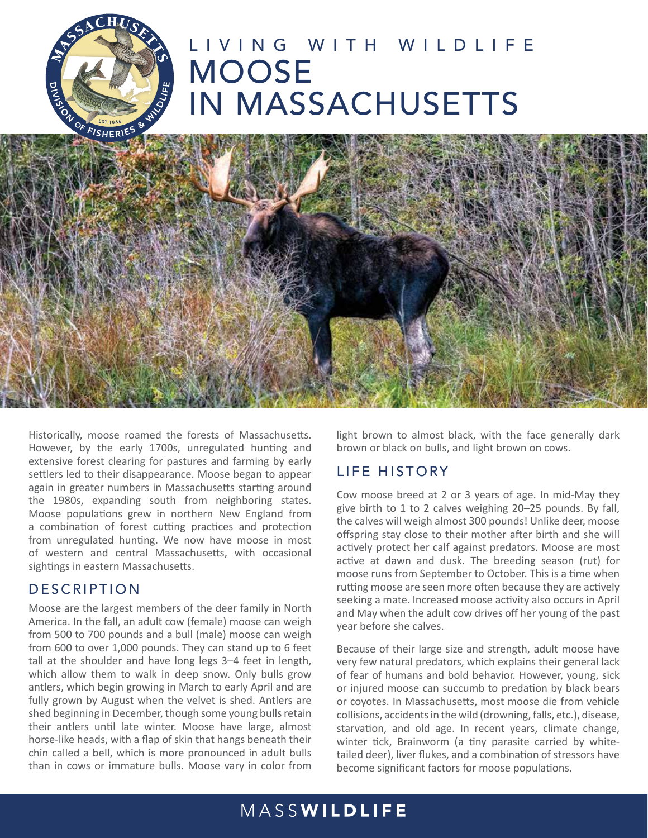

# LIVING WITH WILDLIFE MOOSE IN MASSACHUSETTS



Historically, moose roamed the forests of Massachusetts. However, by the early 1700s, unregulated hunting and extensive forest clearing for pastures and farming by early settlers led to their disappearance. Moose began to appear again in greater numbers in Massachusetts starting around the 1980s, expanding south from neighboring states. Moose populations grew in northern New England from a combination of forest cutting practices and protection from unregulated hunting. We now have moose in most of western and central Massachusetts, with occasional sightings in eastern Massachusetts.

#### **DESCRIPTION**

Moose are the largest members of the deer family in North America. In the fall, an adult cow (female) moose can weigh from 500 to 700 pounds and a bull (male) moose can weigh from 600 to over 1,000 pounds. They can stand up to 6 feet tall at the shoulder and have long legs 3–4 feet in length, which allow them to walk in deep snow. Only bulls grow antlers, which begin growing in March to early April and are fully grown by August when the velvet is shed. Antlers are shed beginning in December, though some young bulls retain their antlers until late winter. Moose have large, almost horse-like heads, with a flap of skin that hangs beneath their chin called a bell, which is more pronounced in adult bulls than in cows or immature bulls. Moose vary in color from

light brown to almost black, with the face generally dark brown or black on bulls, and light brown on cows.

#### LIFE HISTORY

Cow moose breed at 2 or 3 years of age. In mid-May they give birth to 1 to 2 calves weighing 20–25 pounds. By fall, the calves will weigh almost 300 pounds! Unlike deer, moose offspring stay close to their mother after birth and she will actively protect her calf against predators. Moose are most active at dawn and dusk. The breeding season (rut) for moose runs from September to October. This is a time when rutting moose are seen more often because they are actively seeking a mate. Increased moose activity also occurs in April and May when the adult cow drives off her young of the past year before she calves.

Because of their large size and strength, adult moose have very few natural predators, which explains their general lack of fear of humans and bold behavior. However, young, sick or injured moose can succumb to predation by black bears or coyotes. In Massachusetts, most moose die from vehicle collisions, accidents in the wild (drowning, falls, etc.), disease, starvation, and old age. In recent years, climate change, winter tick, Brainworm (a tiny parasite carried by whitetailed deer), liver flukes, and a combination of stressors have become significant factors for moose populations.

# MASSWILDLIFE